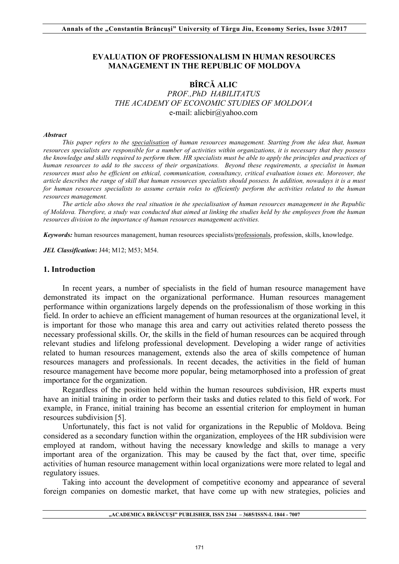### **EVALUATION OF PROFESSIONALISM IN HUMAN RESOURCES MANAGEMENT IN THE REPUBLIC OF MOLDOVA**

## **BÎRCĂ ALIC**  *PROF.,PhD HABILITATUS THE ACADEMY OF ECONOMIC STUDIES OF MOLDOVA*  e-mail: alicbir@yahoo.com

#### *Abstract*

*This paper refers to the specialisation of human resources management. Starting from the idea that, human resources specialists are responsible for a number of activities within organizations, it is necessary that they possess the knowledge and skills required to perform them. HR specialists must be able to apply the principles and practices of human resources to add to the success of their organizations. Beyond these requirements, a specialist in human resources must also be efficient on ethical, communication, consultancy, critical evaluation issues etc. Moreover, the article describes the range of skill that human resources specialists should possess. In addition, nowadays it is a must for human resources specialists to assume certain roles to efficiently perform the activities related to the human resources management.*

*The article also shows the real situation in the specialisation of human resources management in the Republic of Moldova. Therefore, a study was conducted that aimed at linking the studies held by the employees from the human resources division to the importance of human resources management activities.*

*Keywords:* human resources management, human resources specialists/professionals, profession, skills, knowledge.

*JEL Classification***:** J44; M12; M53; M54.

#### **1. Introduction**

In recent years, a number of specialists in the field of human resource management have demonstrated its impact on the organizational performance. Human resources management performance within organizations largely depends on the professionalism of those working in this field. In order to achieve an efficient management of human resources at the organizational level, it is important for those who manage this area and carry out activities related thereto possess the necessary professional skills. Or, the skills in the field of human resources can be acquired through relevant studies and lifelong professional development. Developing a wider range of activities related to human resources management, extends also the area of skills competence of human resources managers and professionals. In recent decades, the activities in the field of human resource management have become more popular, being metamorphosed into a profession of great importance for the organization.

Regardless of the position held within the human resources subdivision, HR experts must have an initial training in order to perform their tasks and duties related to this field of work. For example, in France, initial training has become an essential criterion for employment in human resources subdivision [5].

Unfortunately, this fact is not valid for organizations in the Republic of Moldova. Being considered as a secondary function within the organization, employees of the HR subdivision were employed at random, without having the necessary knowledge and skills to manage a very important area of the organization. This may be caused by the fact that, over time, specific activities of human resource management within local organizations were more related to legal and regulatory issues.

Taking into account the development of competitive economy and appearance of several foreign companies on domestic market, that have come up with new strategies, policies and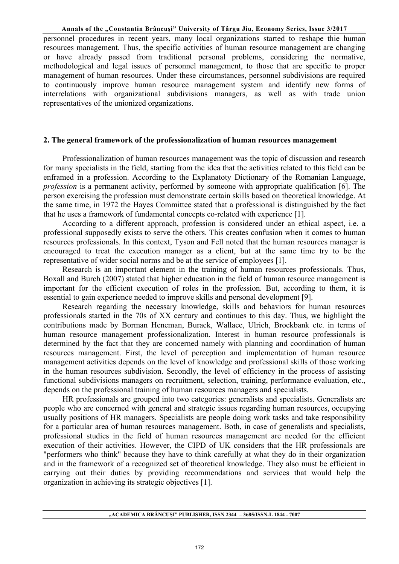personnel procedures in recent years, many local organizations started to reshape thie human resources management. Thus, the specific activities of human resource management are changing or have already passed from traditional personal problems, considering the normative, methodological and legal issues of personnel management, to those that are specific to proper management of human resources. Under these circumstances, personnel subdivisions are required to continuously improve human resource management system and identify new forms of interrelations with organizational subdivisions managers, as well as with trade union representatives of the unionized organizations.

#### **2. The general framework of the professionalization of human resources management**

Professionalization of human resources management was the topic of discussion and research for many specialists in the field, starting from the idea that the activities related to this field can be enframed in a profession. According to the Explanatoty Dictionary of the Romanian Language, *profession* is a permanent activity, performed by someone with appropriate qualification [6]. The person exercising the profession must demonstrate certain skills based on theoretical knowledge. At the same time, in 1972 the Hayes Committee stated that a professional is distinguished by the fact that he uses a framework of fundamental concepts co-related with experience [1].

According to a different approach, profession is considered under an ethical aspect, i.e. a professional supposedly exists to serve the others. This creates confusion when it comes to human resources professionals. In this context, Tyson and Fell noted that the human resources manager is encouraged to treat the execution manager as a client, but at the same time try to be the representative of wider social norms and be at the service of employees [1].

Research is an important element in the training of human resources professionals. Thus, Boxall and Burch (2007) stated that higher education in the field of human resource management is important for the efficient execution of roles in the profession. But, according to them, it is essential to gain experience needed to improve skills and personal development [9].

Research regarding the necessary knowledge, skills and behaviors for human resources professionals started in the 70s of XX century and continues to this day. Thus, we highlight the contributions made by Borman Heneman, Burack, Wallace, Ulrich, Brockbank etc. in terms of human resource management professionalization. Interest in human resource professionals is determined by the fact that they are concerned namely with planning and coordination of human resources management. First, the level of perception and implementation of human resource management activities depends on the level of knowledge and professional skills of those working in the human resources subdivision. Secondly, the level of efficiency in the process of assisting functional subdivisions managers on recruitment, selection, training, performance evaluation, etc., depends on the professional training of human resources managers and specialists.

HR professionals are grouped into two categories: generalists and specialists. Generalists are people who are concerned with general and strategic issues regarding human resources, occupying usually positions of HR managers. Specialists are people doing work tasks and take responsibility for a particular area of human resources management. Both, in case of generalists and specialists, professional studies in the field of human resources management are needed for the efficient execution of their activities. However, the CIPD of UK considers that the HR professionals are "performers who think" because they have to think carefully at what they do in their organization and in the framework of a recognized set of theoretical knowledge. They also must be efficient in carrying out their duties by providing recommendations and services that would help the organization in achieving its strategic objectives [1].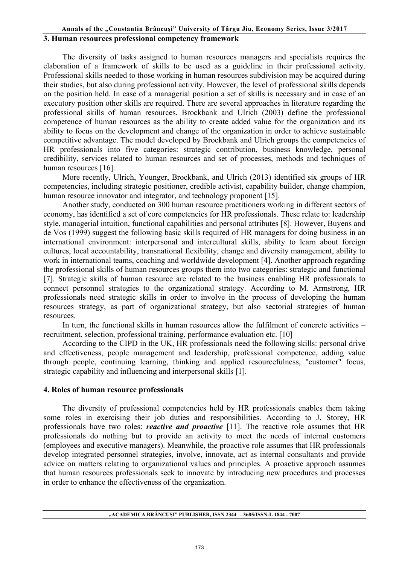### **Annals of the "Constantin Brâncuşi" University of Târgu Jiu, Economy Series, Issue 3/2017 3. Human resources professional competency framework**

The diversity of tasks assigned to human resources managers and specialists requires the elaboration of a framework of skills to be used as a guideline in their professional activity. Professional skills needed to those working in human resources subdivision may be acquired during their studies, but also during professional activity. However, the level of professional skills depends on the position held. In case of a managerial position a set of skills is necessary and in case of an executory position other skills are required. There are several approaches in literature regarding the professional skills of human resources. Brockbank and Ulrich (2003) define the professional competence of human resources as the ability to create added value for the organization and its ability to focus on the development and change of the organization in order to achieve sustainable competitive advantage. The model developed by Brockbank and Ulrich groups the competencies of HR professionals into five categories: strategic contribution, business knowledge, personal credibility, services related to human resources and set of processes, methods and techniques of human resources [16].

More recently, Ulrich, Younger, Brockbank, and Ulrich (2013) identified six groups of HR competencies, including strategic positioner, credible activist, capability builder, change champion, human resource innovator and integrator, and technology proponent [15].

Another study, conducted on 300 human resource practitioners working in different sectors of economy, has identified a set of core competencies for HR professionals. These relate to: leadership style, managerial intuition, functional capabilities and personal attributes [8]. However, Buyens and de Vos (1999) suggest the following basic skills required of HR managers for doing business in an international environment: interpersonal and intercultural skills, ability to learn about foreign cultures, local accountability, transnational flexibility, change and diversity management, ability to work in international teams, coaching and worldwide development [4]. Another approach regarding the professional skills of human resources groups them into two categories: strategic and functional [7]. Strategic skills of human resource are related to the business enabling HR professionals to connect personnel strategies to the organizational strategy. According to M. Armstrong, HR professionals need strategic skills in order to involve in the process of developing the human resources strategy, as part of organizational strategy, but also sectorial strategies of human resources.

In turn, the functional skills in human resources allow the fulfilment of concrete activities – recruitment, selection, professional training, performance evaluation etc. [10]

According to the CIPD in the UK, HR professionals need the following skills: personal drive and effectiveness, people management and leadership, professional competence, adding value through people, continuing learning, thinking and applied resourcefulness, "customer" focus, strategic capability and influencing and interpersonal skills [1].

### **4. Roles of human resource professionals**

The diversity of professional competencies held by HR professionals enables them taking some roles in exercising their job duties and responsibilities. According to J. Storey, HR professionals have two roles: *reactive and proactive* [11]. The reactive role assumes that HR professionals do nothing but to provide an activity to meet the needs of internal customers (employees and executive managers). Meanwhile, the proactive role assumes that HR professionals develop integrated personnel strategies, involve, innovate, act as internal consultants and provide advice on matters relating to organizational values and principles. A proactive approach assumes that human resources professionals seek to innovate by introducing new procedures and processes in order to enhance the effectiveness of the organization.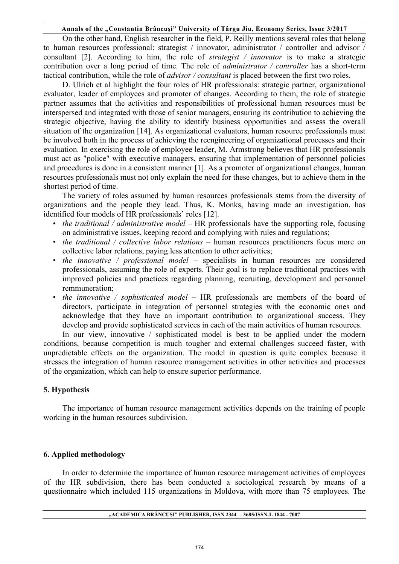On the other hand, English researcher in the field, P. Reilly mentions several roles that belong to human resources professional: strategist / innovator, administrator / controller and advisor / consultant [2]. According to him, the role of *strategist / innovator* is to make a strategic contribution over a long period of time. The role of *administrator / controller* has a short-term tactical contribution, while the role of *advisor / consultant* is placed between the first two roles.

D. Ulrich et al highlight the four roles of HR professionals: strategic partner, organizational evaluator, leader of employees and promoter of changes. According to them, the role of strategic partner assumes that the activities and responsibilities of professional human resources must be interspersed and integrated with those of senior managers, ensuring its contribution to achieving the strategic objective, having the ability to identify business opportunities and assess the overall situation of the organization [14]. As organizational evaluators, human resource professionals must be involved both in the process of achieving the reengineering of organizational processes and their evaluation. In exercising the role of employee leader, M. Armstrong believes that HR professionals must act as "police" with executive managers, ensuring that implementation of personnel policies and procedures is done in a consistent manner [1]. As a promoter of organizational changes, human resources professionals must not only explain the need for these changes, but to achieve them in the shortest period of time.

The variety of roles assumed by human resources professionals stems from the diversity of organizations and the people they lead. Thus, K. Monks, having made an investigation, has identified four models of HR professionals' roles [12].

- *the traditional / administrative model* HR professionals have the supporting role, focusing on administrative issues, keeping record and complying with rules and regulations;
- *the traditional / collective labor relations* human resources practitioners focus more on collective labor relations, paying less attention to other activities;
- *the innovative / professional model* specialists in human resources are considered professionals, assuming the role of experts. Their goal is to replace traditional practices with improved policies and practices regarding planning, recruiting, development and personnel remmuneration;
- *the innovative / sophisticated model* HR professionals are members of the board of directors, participate in integration of personnel strategies with the economic ones and acknowledge that they have an important contribution to organizational success. They develop and provide sophisticated services in each of the main activities of human resources.

In our view, innovative / sophisticated model is best to be applied under the modern conditions, because competition is much tougher and external challenges succeed faster, with unpredictable effects on the organization. The model in question is quite complex because it stresses the integration of human resource management activities in other activities and processes of the organization, which can help to ensure superior performance.

### **5. Hypothesis**

The importance of human resource management activities depends on the training of people working in the human resources subdivision.

# **6. Applied methodology**

In order to determine the importance of human resource management activities of employees of the HR subdivision, there has been conducted a sociological research by means of a questionnaire which included 115 organizations in Moldova, with more than 75 employees. The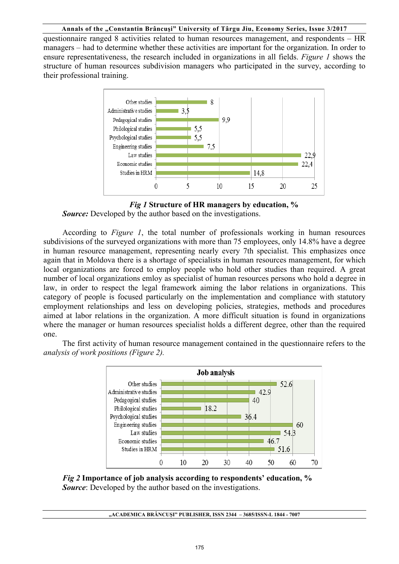questionnaire ranged 8 activities related to human resources management, and respondents – HR managers – had to determine whether these activities are important for the organization. In order to ensure representativeness, the research included in organizations in all fields. *Figure 1* shows the structure of human resources subdivision managers who participated in the survey, according to their professional training.





*Source:* Developed by the author based on the investigations.

According to *Figure 1*, the total number of professionals working in human resources subdivisions of the surveyed organizations with more than 75 employees, only 14.8% have a degree in human resource management, representing nearly every 7th specialist. This emphasizes once again that in Moldova there is a shortage of specialists in human resources management, for which local organizations are forced to employ people who hold other studies than required. A great number of local organizations emloy as specialist of human resources persons who hold a degree in law, in order to respect the legal framework aiming the labor relations in organizations. This category of people is focused particularly on the implementation and compliance with statutory employment relationships and less on developing policies, strategies, methods and procedures aimed at labor relations in the organization. A more difficult situation is found in organizations where the manager or human resources specialist holds a different degree, other than the required one.

The first activity of human resource management contained in the questionnaire refers to the *analysis of work positions (Figure 2).* 



*Fig 2* **Importance of job analysis according to respondents' education, %**  *Source*: Developed by the author based on the investigations.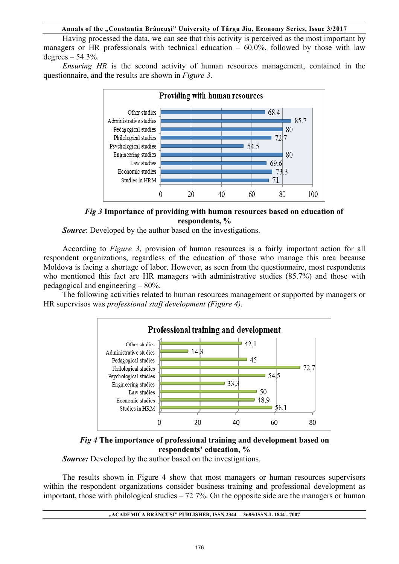Having processed the data, we can see that this activity is perceived as the most important by managers or HR professionals with technical education  $-60.0\%$ , followed by those with law degrees  $-54.3%$ .

*Ensuring HR* is the second activity of human resources management, contained in the questionnaire, and the results are shown in *Figure 3*.



*Fig 3* **Importance of providing with human resources based on education of respondents, %** 

*Source*: Developed by the author based on the investigations.

According to *Figure 3*, provision of human resources is a fairly important action for all respondent organizations, regardless of the education of those who manage this area because Moldova is facing a shortage of labor. However, as seen from the questionnaire, most respondents who mentioned this fact are HR managers with administrative studies (85.7%) and those with pedagogical and engineering – 80%.

The following activities related to human resources management or supported by managers or HR supervisos was *professional staff development (Figure 4).* 



### *Fig 4* **The importance of professional training and development based on respondents' education, %**

*Source:* Developed by the author based on the investigations.

The results shown in Figure 4 show that most managers or human resources supervisors within the respondent organizations consider business training and professional development as important, those with philological studies  $-72$  7%. On the opposite side are the managers or human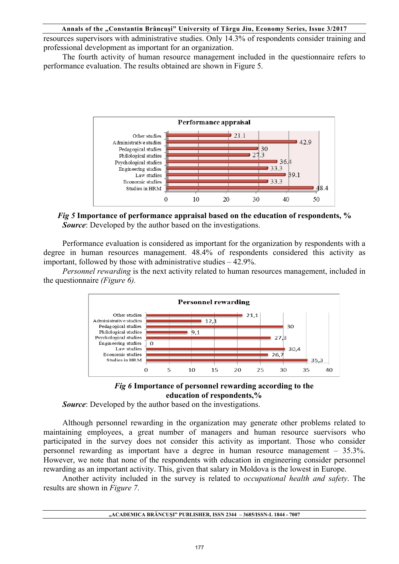resources supervisors with administrative studies. Only 14.3% of respondents consider training and professional development as important for an organization.

The fourth activity of human resource management included in the questionnaire refers to performance evaluation. The results obtained are shown in Figure 5.



*Fig 5* **Importance of performance appraisal based on the education of respondents, %**  *Source*: Developed by the author based on the investigations.

Performance evaluation is considered as important for the organization by respondents with a degree in human resources management. 48.4% of respondents considered this activity as important, followed by those with administrative studies – 42.9%.

*Personnel rewarding* is the next activity related to human resources management, included in the questionnaire *(Figure 6).* 





*Source*: Developed by the author based on the investigations.

Although personnel rewarding in the organization may generate other problems related to maintaining employees, a great number of managers and human resource suervisors who participated in the survey does not consider this activity as important. Those who consider personnel rewarding as important have a degree in human resource management – 35.3%. However, we note that none of the respondents with education in engineering consider personnel rewarding as an important activity. This, given that salary in Moldova is the lowest in Europe.

Another activity included in the survey is related to *occupational health and safety*. The results are shown in *Figure 7*.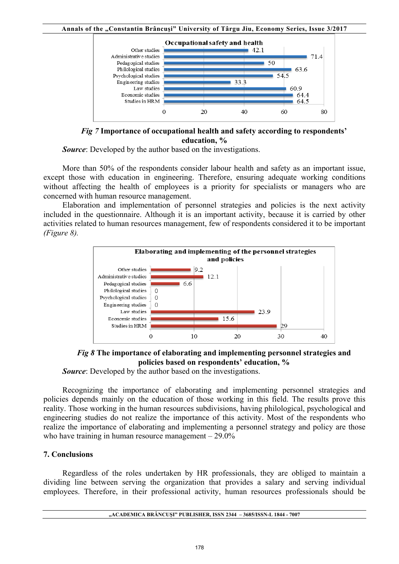

*Fig 7* **Importance of occupational health and safety according to respondents' education, %** 

*Source*: Developed by the author based on the investigations.

More than 50% of the respondents consider labour health and safety as an important issue, except those with education in engineering. Therefore, ensuring adequate working conditions without affecting the health of employees is a priority for specialists or managers who are concerned with human resource management.

Elaboration and implementation of personnel strategies and policies is the next activity included in the questionnaire. Although it is an important activity, because it is carried by other activities related to human resources management, few of respondents considered it to be important *(Figure 8).* 



*Fig 8* **The importance of elaborating and implementing personnel strategies and policies based on respondents' education, %** 

*Source*: Developed by the author based on the investigations.

Recognizing the importance of elaborating and implementing personnel strategies and policies depends mainly on the education of those working in this field. The results prove this reality. Those working in the human resources subdivisions, having philological, psychological and engineering studies do not realize the importance of this activity. Most of the respondents who realize the importance of elaborating and implementing a personnel strategy and policy are those who have training in human resource management  $-29.0\%$ 

# **7. Conclusions**

Regardless of the roles undertaken by HR professionals, they are obliged to maintain a dividing line between serving the organization that provides a salary and serving individual employees. Therefore, in their professional activity, human resources professionals should be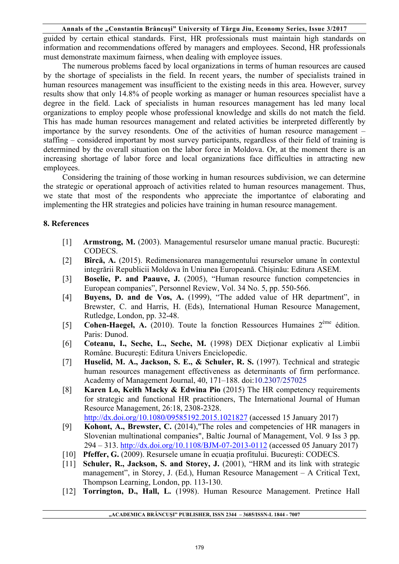guided by certain ethical standards. First, HR professionals must maintain high standards on information and recommendations offered by managers and employees. Second, HR professionals must demonstrate maximum fairness, when dealing with employee issues.

The numerous problems faced by local organizations in terms of human resources are caused by the shortage of specialists in the field. In recent years, the number of specialists trained in human resources management was insufficient to the existing needs in this area. However, survey results show that only 14.8% of people working as manager or human resources specialist have a degree in the field. Lack of specialists in human resources management has led many local organizations to employ people whose professional knowledge and skills do not match the field. This has made human resources management and related activities be interpreted differently by importance by the survey resondents. One of the activities of human resource management – staffing – considered important by most survey participants, regardless of their field of training is determined by the overall situation on the labor force in Moldova. Or, at the moment there is an increasing shortage of labor force and local organizations face difficulties in attracting new employees.

Considering the training of those working in human resources subdivision, we can determine the strategic or operational approach of activities related to human resources management. Thus, we state that most of the respondents who appreciate the importantce of elaborating and implementing the HR strategies and policies have training in human resource management.

# **8. References**

- [1] **Armstrong, M.** (2003). Managementul resurselor umane manual practic. Bucureşti: CODECS.
- [2] **Bîrcă, A.** (2015). Redimensionarea managementului resurselor umane în contextul integrării Republicii Moldova în Uniunea Europeană. Chișinău: Editura ASEM.
- [3] **Boselie, P. and Paauve, J.** (2005), "Human resource function competencies in European companies", Personnel Review, Vol. 34 No. 5, pp. 550-566.
- [4] **Buyens, D. and de Vos, A.** (1999), "The added value of HR department", in Brewster, C. and Harris, H. (Eds), International Human Resource Management, Rutledge, London, pp. 32-48.
- [5] **Cohen-Haegel, A.** (2010). Toute la fonction Ressources Humaines 2ème édition. Paris: Dunod.
- [6] **Coteanu, I., Seche, L., Seche, M.** (1998) DEX Dicționar explicativ al Limbii Române. București: Editura Univers Enciclopedic.
- [7] **Huselid, M. A., Jackson, S. E., & Schuler, R. S.** (1997). Technical and strategic human resources management effectiveness as determinants of firm performance. Academy of Management Journal, 40, 171–188. doi:10.2307/257025
- [8] **Karen Lo, Keith Macky & Edwina Pio** (2015) The HR competency requirements for strategic and functional HR practitioners, The International Journal of Human Resource Management, 26:18, 2308-2328. http://dx.doi.org/10.1080/09585192.2015.1021827 (accessed 15 January 2017)
- [9] **Kohont, A., Brewster, C.** (2014),"The roles and competencies of HR managers in Slovenian multinational companies", Baltic Journal of Management, Vol. 9 Iss 3 pp. 294 – 313. http://dx.doi.org/10.1108/BJM-07-2013-0112 (accessed 05 January 2017)
- [10] **Pfeffer, G.** (2009). Resursele umane în ecuația profitului. București: CODECS.
- [11] **Schuler, R., Jackson, S. and Storey, J.** (2001), "HRM and its link with strategic management", in Storey, J. (Ed.), Human Resource Management – A Critical Text, Thompson Learning, London, pp. 113-130.
- [12] **Torrington, D., Hall, L.** (1998). Human Resource Management. Pretince Hall